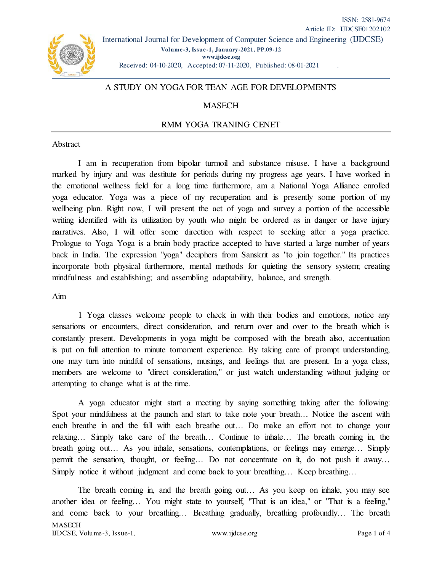Received: 04-10-2020, Accepted: 07-11-2020, Published: 08-01-2021 .

## A STUDY ON YOGA FOR TEAN AGE FOR DEVELOPMENTS

# **MASECH**

## RMM YOGA TRANING CENET

#### Abstract

I am in recuperation from bipolar turmoil and substance misuse. I have a background marked by injury and was destitute for periods during my progress age years. I have worked in the emotional wellness field for a long time furthermore, am a National Yoga Alliance enrolled yoga educator. Yoga was a piece of my recuperation and is presently some portion of my wellbeing plan. Right now, I will present the act of yoga and survey a portion of the accessible writing identified with its utilization by youth who might be ordered as in danger or have injury narratives. Also, I will offer some direction with respect to seeking after a yoga practice. Prologue to Yoga Yoga is a brain body practice accepted to have started a large number of years back in India. The expression "yoga" deciphers from Sanskrit as "to join together." Its practices incorporate both physical furthermore, mental methods for quieting the sensory system; creating mindfulness and establishing; and assembling adaptability, balance, and strength.

#### Aim

1 Yoga classes welcome people to check in with their bodies and emotions, notice any sensations or encounters, direct consideration, and return over and over to the breath which is constantly present. Developments in yoga might be composed with the breath also, accentuation is put on full attention to minute tomoment experience. By taking care of prompt understanding, one may turn into mindful of sensations, musings, and feelings that are present. In a yoga class, members are welcome to "direct consideration," or just watch understanding without judging or attempting to change what is at the time.

A yoga educator might start a meeting by saying something taking after the following: Spot your mindfulness at the paunch and start to take note your breath… Notice the ascent with each breathe in and the fall with each breathe out… Do make an effort not to change your relaxing… Simply take care of the breath… Continue to inhale… The breath coming in, the breath going out… As you inhale, sensations, contemplations, or feelings may emerge… Simply permit the sensation, thought, or feeling… Do not concentrate on it, do not push it away… Simply notice it without judgment and come back to your breathing… Keep breathing…

**MASECH** IJDCSE, Volume-3, Issue-1, www.ijdcse.org Page 1 of 4 The breath coming in, and the breath going out… As you keep on inhale, you may see another idea or feeling… You might state to yourself, "That is an idea," or "That is a feeling," and come back to your breathing… Breathing gradually, breathing profoundly… The breath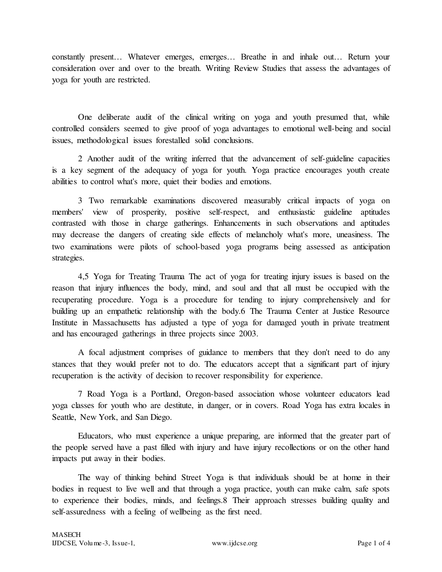constantly present… Whatever emerges, emerges… Breathe in and inhale out… Return your consideration over and over to the breath. Writing Review Studies that assess the advantages of yoga for youth are restricted.

One deliberate audit of the clinical writing on yoga and youth presumed that, while controlled considers seemed to give proof of yoga advantages to emotional well-being and social issues, methodological issues forestalled solid conclusions.

2 Another audit of the writing inferred that the advancement of self-guideline capacities is a key segment of the adequacy of yoga for youth. Yoga practice encourages youth create abilities to control what's more, quiet their bodies and emotions.

3 Two remarkable examinations discovered measurably critical impacts of yoga on members' view of prosperity, positive self-respect, and enthusiastic guideline aptitudes contrasted with those in charge gatherings. Enhancements in such observations and aptitudes may decrease the dangers of creating side effects of melancholy what's more, uneasiness. The two examinations were pilots of school-based yoga programs being assessed as anticipation strategies.

4,5 Yoga for Treating Trauma The act of yoga for treating injury issues is based on the reason that injury influences the body, mind, and soul and that all must be occupied with the recuperating procedure. Yoga is a procedure for tending to injury comprehensively and for building up an empathetic relationship with the body.6 The Trauma Center at Justice Resource Institute in Massachusetts has adjusted a type of yoga for damaged youth in private treatment and has encouraged gatherings in three projects since 2003.

A focal adjustment comprises of guidance to members that they don't need to do any stances that they would prefer not to do. The educators accept that a significant part of injury recuperation is the activity of decision to recover responsibility for experience.

7 Road Yoga is a Portland, Oregon-based association whose volunteer educators lead yoga classes for youth who are destitute, in danger, or in covers. Road Yoga has extra locales in Seattle, New York, and San Diego.

Educators, who must experience a unique preparing, are informed that the greater part of the people served have a past filled with injury and have injury recollections or on the other hand impacts put away in their bodies.

The way of thinking behind Street Yoga is that individuals should be at home in their bodies in request to live well and that through a yoga practice, youth can make calm, safe spots to experience their bodies, minds, and feelings.8 Their approach stresses building quality and self-assuredness with a feeling of wellbeing as the first need.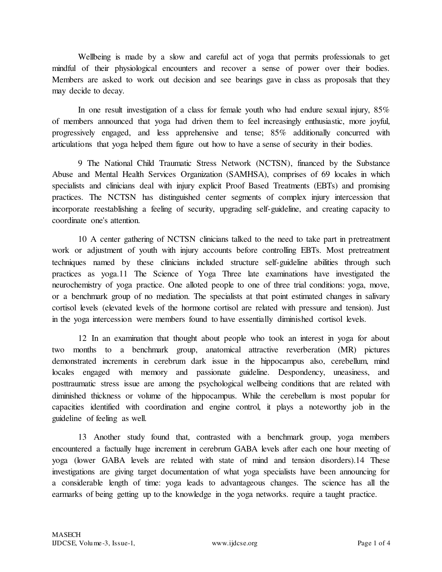Wellbeing is made by a slow and careful act of yoga that permits professionals to get mindful of their physiological encounters and recover a sense of power over their bodies. Members are asked to work out decision and see bearings gave in class as proposals that they may decide to decay.

In one result investigation of a class for female youth who had endure sexual injury, 85% of members announced that yoga had driven them to feel increasingly enthusiastic, more joyful, progressively engaged, and less apprehensive and tense; 85% additionally concurred with articulations that yoga helped them figure out how to have a sense of security in their bodies.

9 The National Child Traumatic Stress Network (NCTSN), financed by the Substance Abuse and Mental Health Services Organization (SAMHSA), comprises of 69 locales in which specialists and clinicians deal with injury explicit Proof Based Treatments (EBTs) and promising practices. The NCTSN has distinguished center segments of complex injury intercession that incorporate reestablishing a feeling of security, upgrading self-guideline, and creating capacity to coordinate one's attention.

10 A center gathering of NCTSN clinicians talked to the need to take part in pretreatment work or adjustment of youth with injury accounts before controlling EBTs. Most pretreatment techniques named by these clinicians included structure self-guideline abilities through such practices as yoga.11 The Science of Yoga Three late examinations have investigated the neurochemistry of yoga practice. One alloted people to one of three trial conditions: yoga, move, or a benchmark group of no mediation. The specialists at that point estimated changes in salivary cortisol levels (elevated levels of the hormone cortisol are related with pressure and tension). Just in the yoga intercession were members found to have essentially diminished cortisol levels.

12 In an examination that thought about people who took an interest in yoga for about two months to a benchmark group, anatomical attractive reverberation (MR) pictures demonstrated increments in cerebrum dark issue in the hippocampus also, cerebellum, mind locales engaged with memory and passionate guideline. Despondency, uneasiness, and posttraumatic stress issue are among the psychological wellbeing conditions that are related with diminished thickness or volume of the hippocampus. While the cerebellum is most popular for capacities identified with coordination and engine control, it plays a noteworthy job in the guideline of feeling as well.

13 Another study found that, contrasted with a benchmark group, yoga members encountered a factually huge increment in cerebrum GABA levels after each one hour meeting of yoga (lower GABA levels are related with state of mind and tension disorders).14 These investigations are giving target documentation of what yoga specialists have been announcing for a considerable length of time: yoga leads to advantageous changes. The science has all the earmarks of being getting up to the knowledge in the yoga networks. require a taught practice.